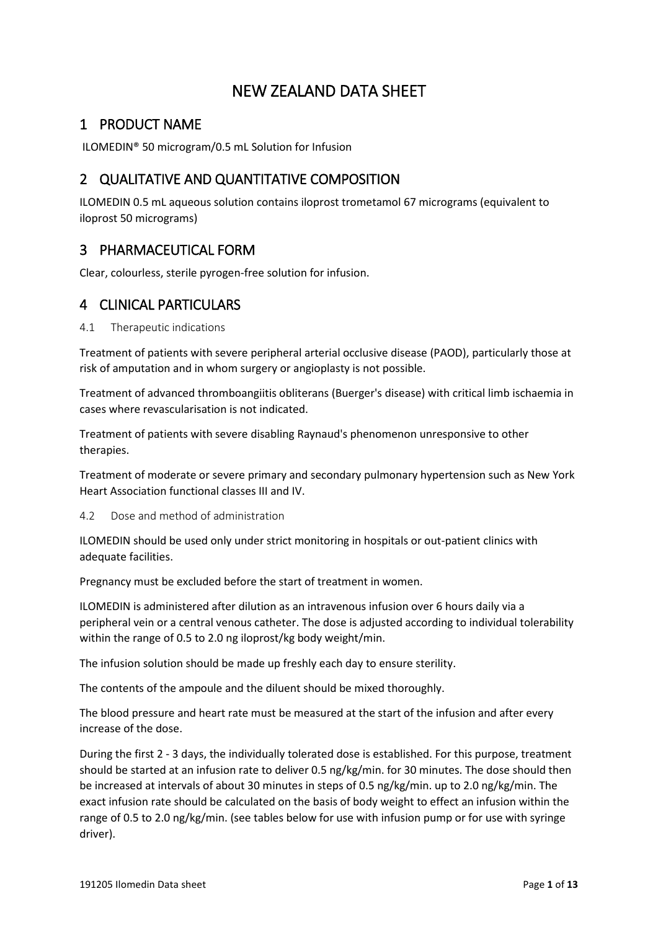# NEW ZEALAND DATA SHEET

## 1 PRODUCT NAME

ILOMEDIN® 50 microgram/0.5 mL Solution for Infusion

## 2 QUALITATIVE AND QUANTITATIVE COMPOSITION

ILOMEDIN 0.5 mL aqueous solution contains iloprost trometamol 67 micrograms (equivalent to iloprost 50 micrograms)

## 3 PHARMACEUTICAL FORM

Clear, colourless, sterile pyrogen-free solution for infusion.

## 4 CLINICAL PARTICULARS

4.1 Therapeutic indications

Treatment of patients with severe peripheral arterial occlusive disease (PAOD), particularly those at risk of amputation and in whom surgery or angioplasty is not possible.

Treatment of advanced thromboangiitis obliterans (Buerger's disease) with critical limb ischaemia in cases where revascularisation is not indicated.

Treatment of patients with severe disabling Raynaud's phenomenon unresponsive to other therapies.

Treatment of moderate or severe primary and secondary pulmonary hypertension such as New York Heart Association functional classes III and IV.

## <span id="page-0-0"></span>4.2 Dose and method of administration

ILOMEDIN should be used only under strict monitoring in hospitals or out-patient clinics with adequate facilities.

Pregnancy must be excluded before the start of treatment in women.

ILOMEDIN is administered after dilution as an intravenous infusion over 6 hours daily via a peripheral vein or a central venous catheter. The dose is adjusted according to individual tolerability within the range of 0.5 to 2.0 ng iloprost/kg body weight/min.

The infusion solution should be made up freshly each day to ensure sterility.

The contents of the ampoule and the diluent should be mixed thoroughly.

The blood pressure and heart rate must be measured at the start of the infusion and after every increase of the dose.

During the first 2 - 3 days, the individually tolerated dose is established. For this purpose, treatment should be started at an infusion rate to deliver 0.5 ng/kg/min. for 30 minutes. The dose should then be increased at intervals of about 30 minutes in steps of 0.5 ng/kg/min. up to 2.0 ng/kg/min. The exact infusion rate should be calculated on the basis of body weight to effect an infusion within the range of 0.5 to 2.0 ng/kg/min. (see tables below for use with infusion pump or for use with syringe driver).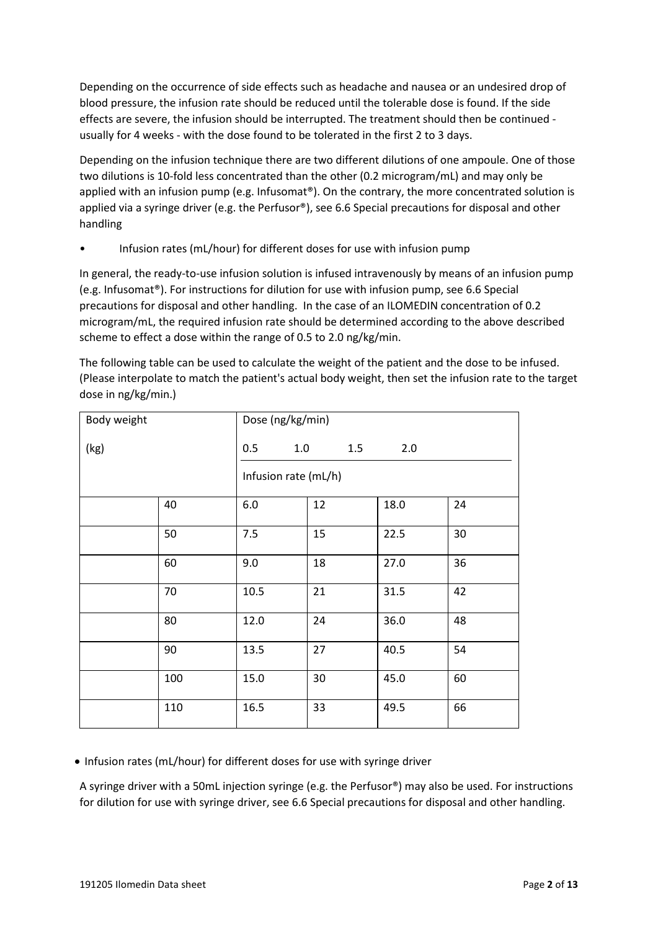Depending on the occurrence of side effects such as headache and nausea or an undesired drop of blood pressure, the infusion rate should be reduced until the tolerable dose is found. If the side effects are severe, the infusion should be interrupted. The treatment should then be continued usually for 4 weeks - with the dose found to be tolerated in the first 2 to 3 days.

Depending on the infusion technique there are two different dilutions of one ampoule. One of those two dilutions is 10-fold less concentrated than the other (0.2 microgram/mL) and may only be applied with an infusion pump (e.g. Infusomat®). On the contrary, the more concentrated solution is applied via a syringe driver (e.g. the Perfusor®), see 6.6 Special precautions for disposal and other handling

• Infusion rates (mL/hour) for different doses for use with infusion pump

In general, the ready-to-use infusion solution is infused intravenously by means of an infusion pump (e.g. Infusomat®). For instructions for dilution for use with infusion pump, see 6.6 Special precautions for disposal and other handling. In the case of an ILOMEDIN concentration of 0.2 microgram/mL, the required infusion rate should be determined according to the above described scheme to effect a dose within the range of 0.5 to 2.0 ng/kg/min.

The following table can be used to calculate the weight of the patient and the dose to be infused. (Please interpolate to match the patient's actual body weight, then set the infusion rate to the target dose in ng/kg/min.)

| Body weight |     | Dose (ng/kg/min)     |     |      |    |
|-------------|-----|----------------------|-----|------|----|
| (kg)        |     | 1.0<br>0.5           | 1.5 | 2.0  |    |
|             |     | Infusion rate (mL/h) |     |      |    |
|             | 40  | 6.0                  | 12  | 18.0 | 24 |
|             | 50  | 7.5                  | 15  | 22.5 | 30 |
|             | 60  | 9.0                  | 18  | 27.0 | 36 |
|             | 70  | 10.5                 | 21  | 31.5 | 42 |
|             | 80  | 12.0                 | 24  | 36.0 | 48 |
|             | 90  | 13.5                 | 27  | 40.5 | 54 |
|             | 100 | 15.0                 | 30  | 45.0 | 60 |
|             | 110 | 16.5                 | 33  | 49.5 | 66 |

• Infusion rates (mL/hour) for different doses for use with syringe driver

A syringe driver with a 50mL injection syringe (e.g. the Perfusor®) may also be used. For instructions for dilution for use with syringe driver, see 6.6 Special precautions for disposal and other handling.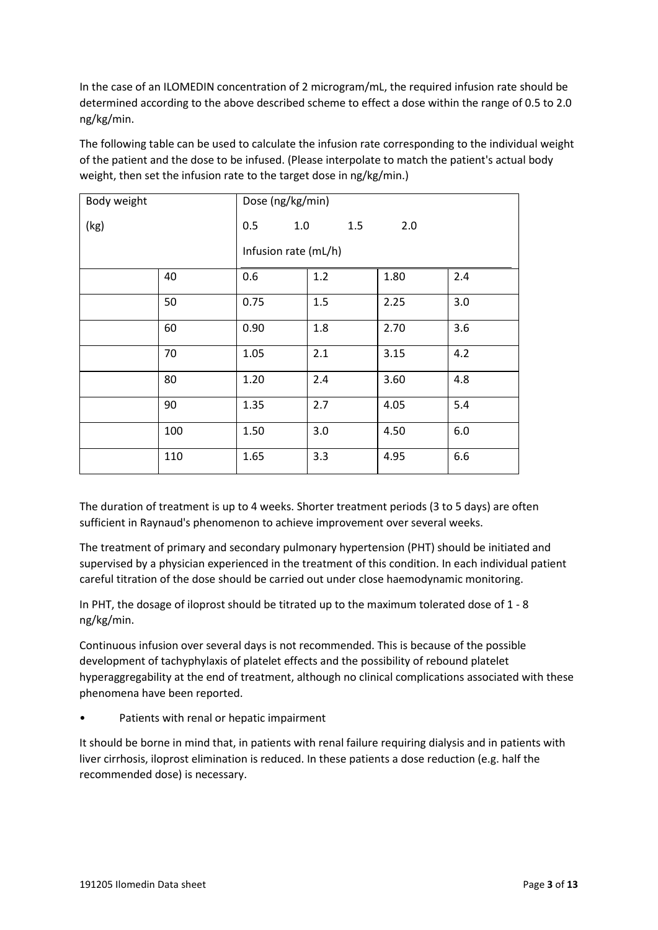In the case of an ILOMEDIN concentration of 2 microgram/mL, the required infusion rate should be determined according to the above described scheme to effect a dose within the range of 0.5 to 2.0 ng/kg/min.

The following table can be used to calculate the infusion rate corresponding to the individual weight of the patient and the dose to be infused. (Please interpolate to match the patient's actual body weight, then set the infusion rate to the target dose in ng/kg/min.)

| Body weight |     | Dose (ng/kg/min)     |     |      |     |
|-------------|-----|----------------------|-----|------|-----|
| (kg)        |     | 1.0<br>0.5           | 1.5 | 2.0  |     |
|             |     | Infusion rate (mL/h) |     |      |     |
|             | 40  | 0.6                  | 1.2 | 1.80 | 2.4 |
|             | 50  | 0.75                 | 1.5 | 2.25 | 3.0 |
|             | 60  | 0.90                 | 1.8 | 2.70 | 3.6 |
|             | 70  | 1.05                 | 2.1 | 3.15 | 4.2 |
|             | 80  | 1.20                 | 2.4 | 3.60 | 4.8 |
|             | 90  | 1.35                 | 2.7 | 4.05 | 5.4 |
|             | 100 | 1.50                 | 3.0 | 4.50 | 6.0 |
|             | 110 | 1.65                 | 3.3 | 4.95 | 6.6 |

The duration of treatment is up to 4 weeks. Shorter treatment periods (3 to 5 days) are often sufficient in Raynaud's phenomenon to achieve improvement over several weeks.

The treatment of primary and secondary pulmonary hypertension (PHT) should be initiated and supervised by a physician experienced in the treatment of this condition. In each individual patient careful titration of the dose should be carried out under close haemodynamic monitoring.

In PHT, the dosage of iloprost should be titrated up to the maximum tolerated dose of 1 - 8 ng/kg/min.

Continuous infusion over several days is not recommended. This is because of the possible development of tachyphylaxis of platelet effects and the possibility of rebound platelet hyperaggregability at the end of treatment, although no clinical complications associated with these phenomena have been reported.

Patients with renal or hepatic impairment

It should be borne in mind that, in patients with renal failure requiring dialysis and in patients with liver cirrhosis, iloprost elimination is reduced. In these patients a dose reduction (e.g. half the recommended dose) is necessary.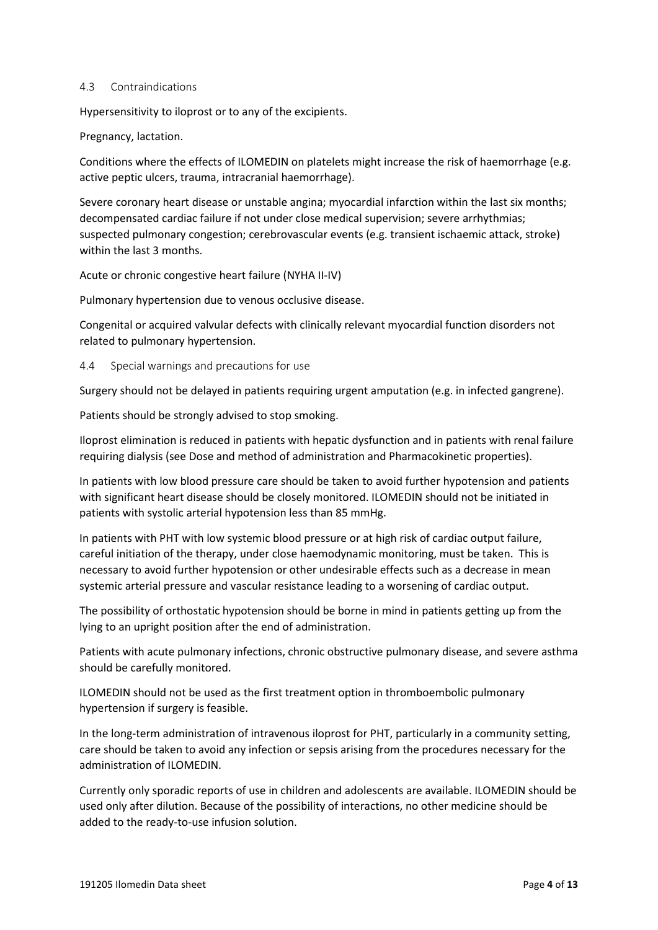#### 4.3 Contraindications

Hypersensitivity to iloprost or to any of the excipients.

Pregnancy, lactation.

Conditions where the effects of ILOMEDIN on platelets might increase the risk of haemorrhage (e.g. active peptic ulcers, trauma, intracranial haemorrhage).

Severe coronary heart disease or unstable angina; myocardial infarction within the last six months; decompensated cardiac failure if not under close medical supervision; severe arrhythmias; suspected pulmonary congestion; cerebrovascular events (e.g. transient ischaemic attack, stroke) within the last 3 months.

Acute or chronic congestive heart failure (NYHA II-IV)

Pulmonary hypertension due to venous occlusive disease.

Congenital or acquired valvular defects with clinically relevant myocardial function disorders not related to pulmonary hypertension.

4.4 Special warnings and precautions for use

Surgery should not be delayed in patients requiring urgent amputation (e.g. in infected gangrene).

Patients should be strongly advised to stop smoking.

Iloprost elimination is reduced in patients with hepatic dysfunction and in patients with renal failure requiring dialysis (see [Dose and method of administration](#page-0-0) and [Pharmacokinetic properties\)](#page-8-0).

In patients with low blood pressure care should be taken to avoid further hypotension and patients with significant heart disease should be closely monitored. ILOMEDIN should not be initiated in patients with systolic arterial hypotension less than 85 mmHg.

In patients with PHT with low systemic blood pressure or at high risk of cardiac output failure, careful initiation of the therapy, under close haemodynamic monitoring, must be taken. This is necessary to avoid further hypotension or other undesirable effects such as a decrease in mean systemic arterial pressure and vascular resistance leading to a worsening of cardiac output.

The possibility of orthostatic hypotension should be borne in mind in patients getting up from the lying to an upright position after the end of administration.

Patients with acute pulmonary infections, chronic obstructive pulmonary disease, and severe asthma should be carefully monitored.

ILOMEDIN should not be used as the first treatment option in thromboembolic pulmonary hypertension if surgery is feasible.

In the long-term administration of intravenous iloprost for PHT, particularly in a community setting, care should be taken to avoid any infection or sepsis arising from the procedures necessary for the administration of ILOMEDIN.

Currently only sporadic reports of use in children and adolescents are available. ILOMEDIN should be used only after dilution. Because of the possibility of interactions, no other medicine should be added to the ready-to-use infusion solution.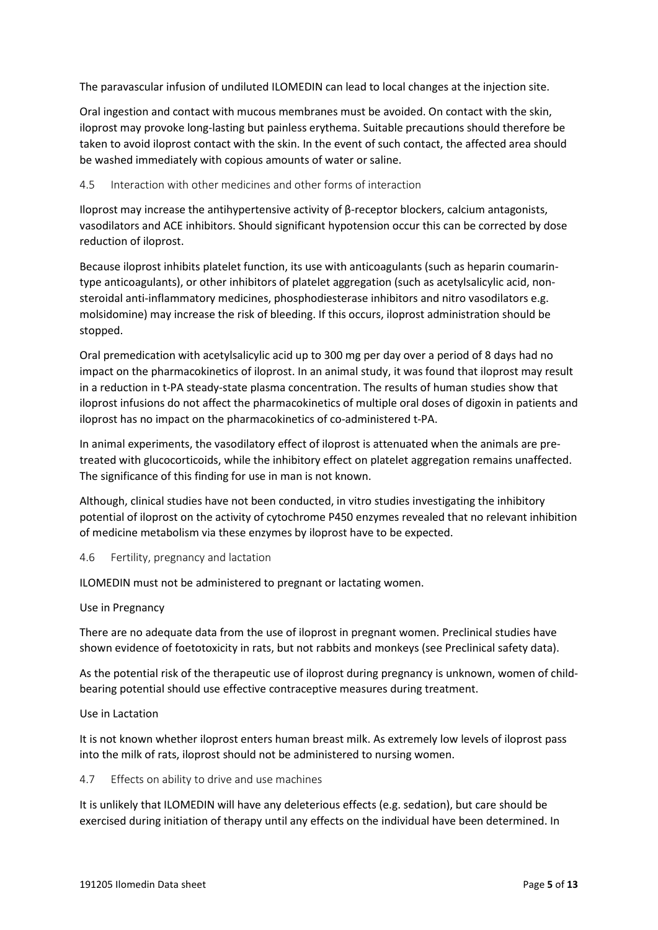The paravascular infusion of undiluted ILOMEDIN can lead to local changes at the injection site.

Oral ingestion and contact with mucous membranes must be avoided. On contact with the skin, iloprost may provoke long-lasting but painless erythema. Suitable precautions should therefore be taken to avoid iloprost contact with the skin. In the event of such contact, the affected area should be washed immediately with copious amounts of water or saline.

### 4.5 Interaction with other medicines and other forms of interaction

Iloprost may increase the antihypertensive activity of β-receptor blockers, calcium antagonists, vasodilators and ACE inhibitors. Should significant hypotension occur this can be corrected by dose reduction of iloprost.

Because iloprost inhibits platelet function, its use with anticoagulants (such as heparin coumarintype anticoagulants), or other inhibitors of platelet aggregation (such as acetylsalicylic acid, nonsteroidal anti-inflammatory medicines, phosphodiesterase inhibitors and nitro vasodilators e.g. molsidomine) may increase the risk of bleeding. If this occurs, iloprost administration should be stopped.

Oral premedication with acetylsalicylic acid up to 300 mg per day over a period of 8 days had no impact on the pharmacokinetics of iloprost. In an animal study, it was found that iloprost may result in a reduction in t-PA steady-state plasma concentration. The results of human studies show that iloprost infusions do not affect the pharmacokinetics of multiple oral doses of digoxin in patients and iloprost has no impact on the pharmacokinetics of co-administered t-PA.

In animal experiments, the vasodilatory effect of iloprost is attenuated when the animals are pretreated with glucocorticoids, while the inhibitory effect on platelet aggregation remains unaffected. The significance of this finding for use in man is not known.

Although, clinical studies have not been conducted, in vitro studies investigating the inhibitory potential of iloprost on the activity of cytochrome P450 enzymes revealed that no relevant inhibition of medicine metabolism via these enzymes by iloprost have to be expected.

### 4.6 Fertility, pregnancy and lactation

ILOMEDIN must not be administered to pregnant or lactating women.

### Use in Pregnancy

There are no adequate data from the use of iloprost in pregnant women. Preclinical studies have shown evidence of foetotoxicity in rats, but not rabbits and monkeys (se[e Preclinical safety data\)](#page-9-0).

As the potential risk of the therapeutic use of iloprost during pregnancy is unknown, women of childbearing potential should use effective contraceptive measures during treatment.

### Use in Lactation

It is not known whether iloprost enters human breast milk. As extremely low levels of iloprost pass into the milk of rats, iloprost should not be administered to nursing women.

4.7 Effects on ability to drive and use machines

It is unlikely that ILOMEDIN will have any deleterious effects (e.g. sedation), but care should be exercised during initiation of therapy until any effects on the individual have been determined. In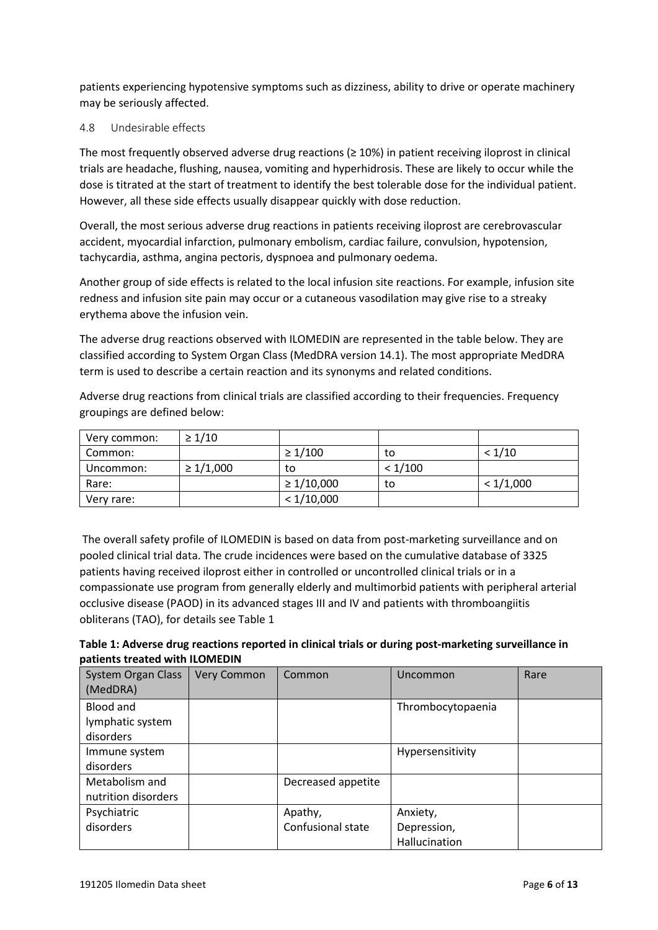patients experiencing hypotensive symptoms such as dizziness, ability to drive or operate machinery may be seriously affected.

### 4.8 Undesirable effects

The most frequently observed adverse drug reactions ( $\geq$  10%) in patient receiving iloprost in clinical trials are headache, flushing, nausea, vomiting and hyperhidrosis. These are likely to occur while the dose is titrated at the start of treatment to identify the best tolerable dose for the individual patient. However, all these side effects usually disappear quickly with dose reduction.

Overall, the most serious adverse drug reactions in patients receiving iloprost are cerebrovascular accident, myocardial infarction, pulmonary embolism, cardiac failure, convulsion, hypotension, tachycardia, asthma, angina pectoris, dyspnoea and pulmonary oedema.

Another group of side effects is related to the local infusion site reactions. For example, infusion site redness and infusion site pain may occur or a cutaneous vasodilation may give rise to a streaky erythema above the infusion vein.

The adverse drug reactions observed with ILOMEDIN are represented in the table below. They are classified according to System Organ Class (MedDRA version 14.1). The most appropriate MedDRA term is used to describe a certain reaction and its synonyms and related conditions.

Adverse drug reactions from clinical trials are classified according to their frequencies. Frequency groupings are defined below:

| Very common: | $\geq 1/10$    |                 |         |           |
|--------------|----------------|-----------------|---------|-----------|
| Common:      |                | $\geq 1/100$    | to      | < 1/10    |
| Uncommon:    | $\geq 1/1,000$ | to              | < 1/100 |           |
| Rare:        |                | $\geq 1/10,000$ | to      | < 1/1,000 |
| Very rare:   |                | < 1/10,000      |         |           |

The overall safety profile of ILOMEDIN is based on data from post-marketing surveillance and on pooled clinical trial data. The crude incidences were based on the cumulative database of 3325 patients having received iloprost either in controlled or uncontrolled clinical trials or in a compassionate use program from generally elderly and multimorbid patients with peripheral arterial occlusive disease (PAOD) in its advanced stages III and IV and patients with thromboangiitis obliterans (TAO), for details see Table 1

| Table 1: Adverse drug reactions reported in clinical trials or during post-marketing surveillance in |  |
|------------------------------------------------------------------------------------------------------|--|
| patients treated with ILOMEDIN                                                                       |  |

| <b>System Organ Class</b><br>(MedDRA)      | <b>Very Common</b> | Common                       | Uncommon                                 | Rare |
|--------------------------------------------|--------------------|------------------------------|------------------------------------------|------|
| Blood and<br>lymphatic system<br>disorders |                    |                              | Thrombocytopaenia                        |      |
| Immune system<br>disorders                 |                    |                              | Hypersensitivity                         |      |
| Metabolism and<br>nutrition disorders      |                    | Decreased appetite           |                                          |      |
| Psychiatric<br>disorders                   |                    | Apathy,<br>Confusional state | Anxiety,<br>Depression,<br>Hallucination |      |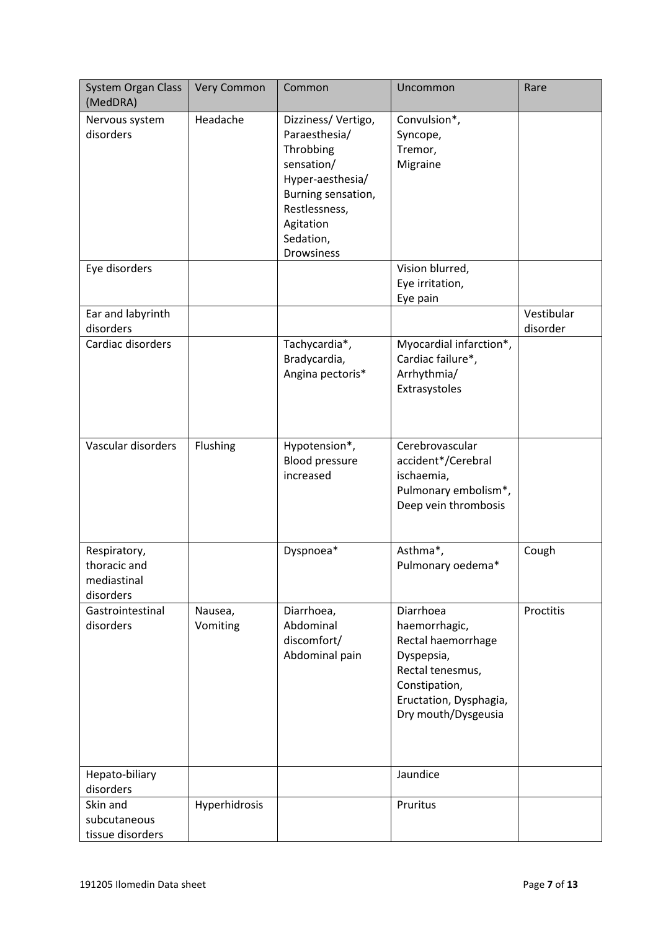| <b>System Organ Class</b><br>(MedDRA)                    | <b>Very Common</b>  | Common                                                                                                                                                                   | Uncommon                                                                                                                                             | Rare                   |
|----------------------------------------------------------|---------------------|--------------------------------------------------------------------------------------------------------------------------------------------------------------------------|------------------------------------------------------------------------------------------------------------------------------------------------------|------------------------|
| Nervous system<br>disorders                              | Headache            | Dizziness/Vertigo,<br>Paraesthesia/<br>Throbbing<br>sensation/<br>Hyper-aesthesia/<br>Burning sensation,<br>Restlessness,<br>Agitation<br>Sedation,<br><b>Drowsiness</b> | Convulsion*,<br>Syncope,<br>Tremor,<br>Migraine                                                                                                      |                        |
| Eye disorders                                            |                     |                                                                                                                                                                          | Vision blurred,<br>Eye irritation,<br>Eye pain                                                                                                       |                        |
| Ear and labyrinth<br>disorders                           |                     |                                                                                                                                                                          |                                                                                                                                                      | Vestibular<br>disorder |
| Cardiac disorders                                        |                     | Tachycardia*,<br>Bradycardia,<br>Angina pectoris*                                                                                                                        | Myocardial infarction*,<br>Cardiac failure*,<br>Arrhythmia/<br>Extrasystoles                                                                         |                        |
| Vascular disorders                                       | Flushing            | Hypotension*,<br><b>Blood pressure</b><br>increased                                                                                                                      | Cerebrovascular<br>accident*/Cerebral<br>ischaemia,<br>Pulmonary embolism*,<br>Deep vein thrombosis                                                  |                        |
| Respiratory,<br>thoracic and<br>mediastinal<br>disorders |                     | Dyspnoea*                                                                                                                                                                | Asthma*,<br>Pulmonary oedema*                                                                                                                        | Cough                  |
| Gastrointestinal<br>disorders                            | Nausea,<br>Vomiting | Diarrhoea,<br>Abdominal<br>discomfort/<br>Abdominal pain                                                                                                                 | Diarrhoea<br>haemorrhagic,<br>Rectal haemorrhage<br>Dyspepsia,<br>Rectal tenesmus,<br>Constipation,<br>Eructation, Dysphagia,<br>Dry mouth/Dysgeusia | Proctitis              |
| Hepato-biliary<br>disorders                              |                     |                                                                                                                                                                          | Jaundice                                                                                                                                             |                        |
| Skin and<br>subcutaneous<br>tissue disorders             | Hyperhidrosis       |                                                                                                                                                                          | Pruritus                                                                                                                                             |                        |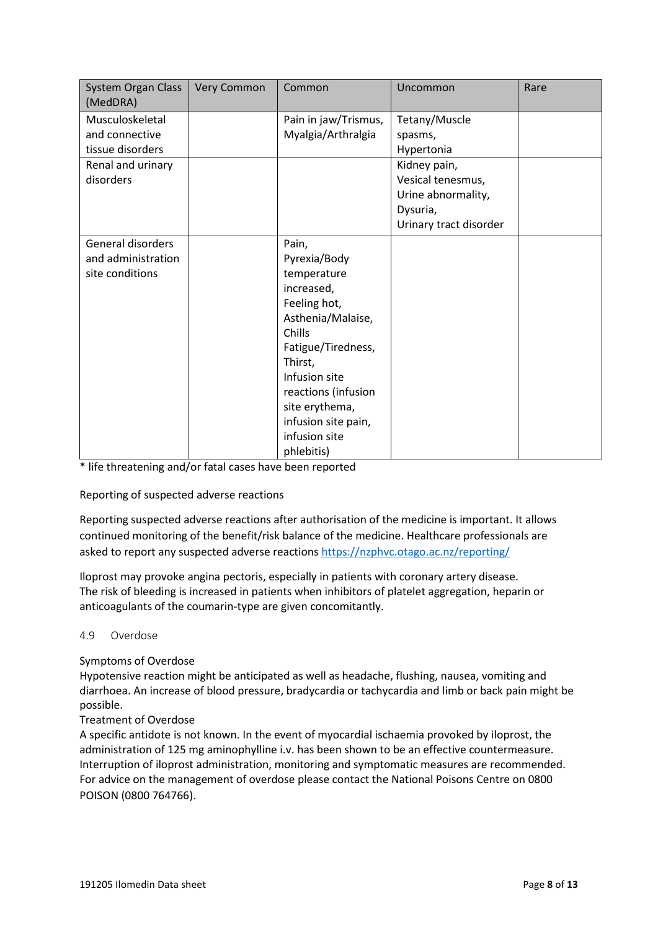| <b>System Organ Class</b><br>(MedDRA)                                                   | Very Common | Common                                                                                                                                                                                                                                             | Uncommon                                                                                                                                | Rare |
|-----------------------------------------------------------------------------------------|-------------|----------------------------------------------------------------------------------------------------------------------------------------------------------------------------------------------------------------------------------------------------|-----------------------------------------------------------------------------------------------------------------------------------------|------|
| Musculoskeletal<br>and connective<br>tissue disorders<br>Renal and urinary<br>disorders |             | Pain in jaw/Trismus,<br>Myalgia/Arthralgia                                                                                                                                                                                                         | Tetany/Muscle<br>spasms,<br>Hypertonia<br>Kidney pain,<br>Vesical tenesmus,<br>Urine abnormality,<br>Dysuria,<br>Urinary tract disorder |      |
| General disorders<br>and administration<br>site conditions                              |             | Pain,<br>Pyrexia/Body<br>temperature<br>increased,<br>Feeling hot,<br>Asthenia/Malaise,<br>Chills<br>Fatigue/Tiredness,<br>Thirst,<br>Infusion site<br>reactions (infusion<br>site erythema,<br>infusion site pain,<br>infusion site<br>phlebitis) |                                                                                                                                         |      |

\* life threatening and/or fatal cases have been reported

Reporting of suspected adverse reactions

Reporting suspected adverse reactions after authorisation of the medicine is important. It allows continued monitoring of the benefit/risk balance of the medicine. Healthcare professionals are asked to report any suspected adverse reactions <https://nzphvc.otago.ac.nz/reporting/>

Iloprost may provoke angina pectoris, especially in patients with coronary artery disease. The risk of bleeding is increased in patients when inhibitors of platelet aggregation, heparin or anticoagulants of the coumarin-type are given concomitantly.

### 4.9 Overdose

### Symptoms of Overdose

Hypotensive reaction might be anticipated as well as headache, flushing, nausea, vomiting and diarrhoea. An increase of blood pressure, bradycardia or tachycardia and limb or back pain might be possible.

### Treatment of Overdose

A specific antidote is not known. In the event of myocardial ischaemia provoked by iloprost, the administration of 125 mg aminophylline i.v. has been shown to be an effective countermeasure. Interruption of iloprost administration, monitoring and symptomatic measures are recommended. For advice on the management of overdose please contact the National Poisons Centre on 0800 POISON (0800 764766).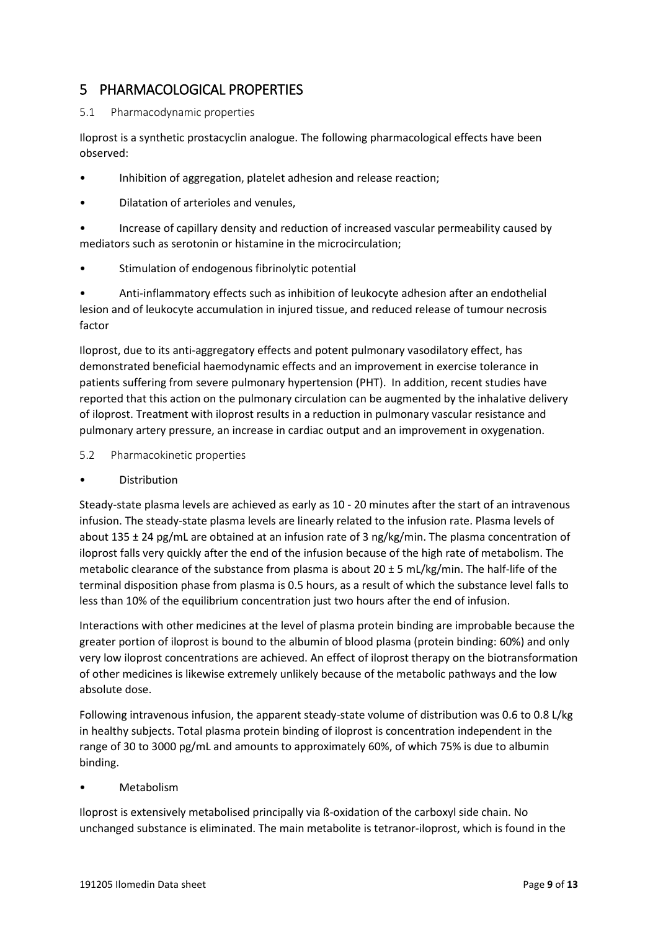## 5 PHARMACOLOGICAL PROPERTIES

### 5.1 Pharmacodynamic properties

Iloprost is a synthetic prostacyclin analogue. The following pharmacological effects have been observed:

- Inhibition of aggregation, platelet adhesion and release reaction;
- Dilatation of arterioles and venules,
- Increase of capillary density and reduction of increased vascular permeability caused by mediators such as serotonin or histamine in the microcirculation;
- Stimulation of endogenous fibrinolytic potential

• Anti-inflammatory effects such as inhibition of leukocyte adhesion after an endothelial lesion and of leukocyte accumulation in injured tissue, and reduced release of tumour necrosis factor

Iloprost, due to its anti-aggregatory effects and potent pulmonary vasodilatory effect, has demonstrated beneficial haemodynamic effects and an improvement in exercise tolerance in patients suffering from severe pulmonary hypertension (PHT). In addition, recent studies have reported that this action on the pulmonary circulation can be augmented by the inhalative delivery of iloprost. Treatment with iloprost results in a reduction in pulmonary vascular resistance and pulmonary artery pressure, an increase in cardiac output and an improvement in oxygenation.

- <span id="page-8-0"></span>5.2 Pharmacokinetic properties
- **Distribution**

Steady-state plasma levels are achieved as early as 10 - 20 minutes after the start of an intravenous infusion. The steady-state plasma levels are linearly related to the infusion rate. Plasma levels of about 135 ± 24 pg/mL are obtained at an infusion rate of 3 ng/kg/min. The plasma concentration of iloprost falls very quickly after the end of the infusion because of the high rate of metabolism. The metabolic clearance of the substance from plasma is about 20  $\pm$  5 mL/kg/min. The half-life of the terminal disposition phase from plasma is 0.5 hours, as a result of which the substance level falls to less than 10% of the equilibrium concentration just two hours after the end of infusion.

Interactions with other medicines at the level of plasma protein binding are improbable because the greater portion of iloprost is bound to the albumin of blood plasma (protein binding: 60%) and only very low iloprost concentrations are achieved. An effect of iloprost therapy on the biotransformation of other medicines is likewise extremely unlikely because of the metabolic pathways and the low absolute dose.

Following intravenous infusion, the apparent steady-state volume of distribution was 0.6 to 0.8 L/kg in healthy subjects. Total plasma protein binding of iloprost is concentration independent in the range of 30 to 3000 pg/mL and amounts to approximately 60%, of which 75% is due to albumin binding.

## • Metabolism

Iloprost is extensively metabolised principally via ß-oxidation of the carboxyl side chain. No unchanged substance is eliminated. The main metabolite is tetranor-iloprost, which is found in the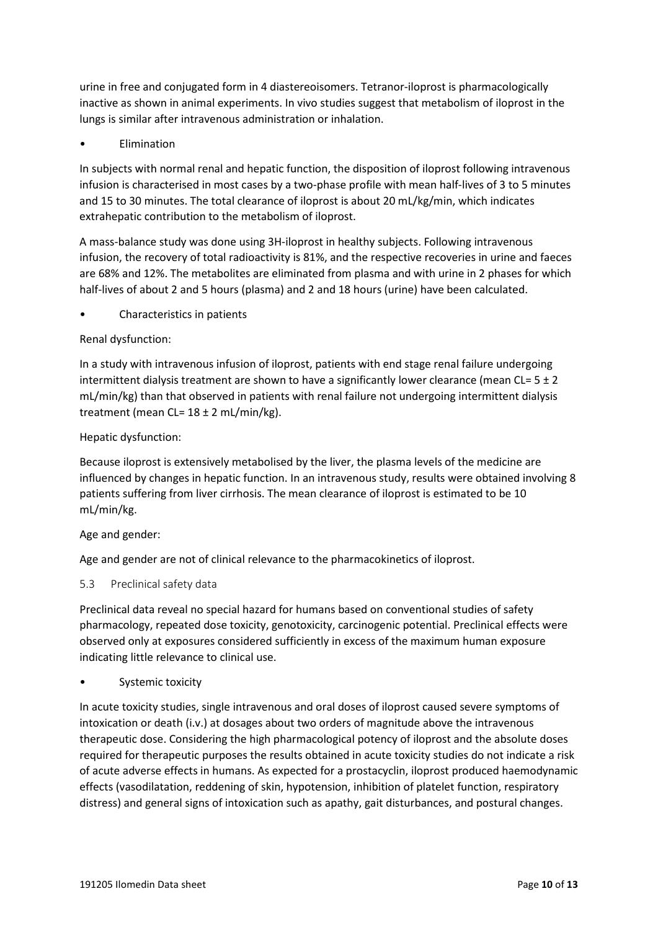urine in free and conjugated form in 4 diastereoisomers. Tetranor-iloprost is pharmacologically inactive as shown in animal experiments. In vivo studies suggest that metabolism of iloprost in the lungs is similar after intravenous administration or inhalation.

• Elimination

In subjects with normal renal and hepatic function, the disposition of iloprost following intravenous infusion is characterised in most cases by a two-phase profile with mean half-lives of 3 to 5 minutes and 15 to 30 minutes. The total clearance of iloprost is about 20 mL/kg/min, which indicates extrahepatic contribution to the metabolism of iloprost.

A mass-balance study was done using 3H-iloprost in healthy subjects. Following intravenous infusion, the recovery of total radioactivity is 81%, and the respective recoveries in urine and faeces are 68% and 12%. The metabolites are eliminated from plasma and with urine in 2 phases for which half-lives of about 2 and 5 hours (plasma) and 2 and 18 hours (urine) have been calculated.

• Characteristics in patients

## Renal dysfunction:

In a study with intravenous infusion of iloprost, patients with end stage renal failure undergoing intermittent dialysis treatment are shown to have a significantly lower clearance (mean CL=  $5 \pm 2$ ) mL/min/kg) than that observed in patients with renal failure not undergoing intermittent dialysis treatment (mean CL=  $18 \pm 2$  mL/min/kg).

### Hepatic dysfunction:

Because iloprost is extensively metabolised by the liver, the plasma levels of the medicine are influenced by changes in hepatic function. In an intravenous study, results were obtained involving 8 patients suffering from liver cirrhosis. The mean clearance of iloprost is estimated to be 10 mL/min/kg.

### Age and gender:

Age and gender are not of clinical relevance to the pharmacokinetics of iloprost.

### <span id="page-9-0"></span>5.3 Preclinical safety data

Preclinical data reveal no special hazard for humans based on conventional studies of safety pharmacology, repeated dose toxicity, genotoxicity, carcinogenic potential. Preclinical effects were observed only at exposures considered sufficiently in excess of the maximum human exposure indicating little relevance to clinical use.

Systemic toxicity

In acute toxicity studies, single intravenous and oral doses of iloprost caused severe symptoms of intoxication or death (i.v.) at dosages about two orders of magnitude above the intravenous therapeutic dose. Considering the high pharmacological potency of iloprost and the absolute doses required for therapeutic purposes the results obtained in acute toxicity studies do not indicate a risk of acute adverse effects in humans. As expected for a prostacyclin, iloprost produced haemodynamic effects (vasodilatation, reddening of skin, hypotension, inhibition of platelet function, respiratory distress) and general signs of intoxication such as apathy, gait disturbances, and postural changes.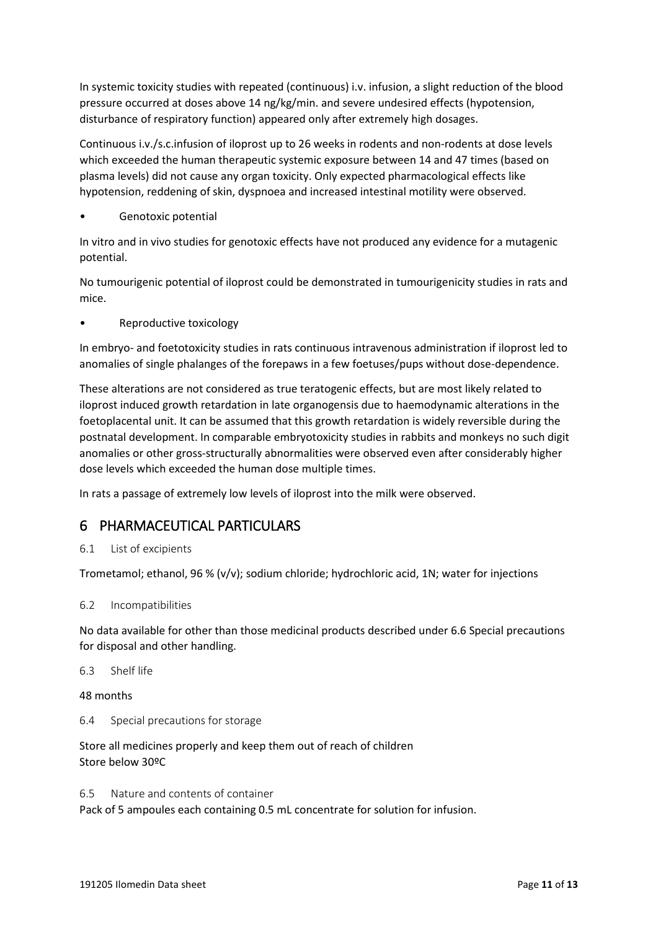In systemic toxicity studies with repeated (continuous) i.v. infusion, a slight reduction of the blood pressure occurred at doses above 14 ng/kg/min. and severe undesired effects (hypotension, disturbance of respiratory function) appeared only after extremely high dosages.

Continuous i.v./s.c.infusion of iloprost up to 26 weeks in rodents and non-rodents at dose levels which exceeded the human therapeutic systemic exposure between 14 and 47 times (based on plasma levels) did not cause any organ toxicity. Only expected pharmacological effects like hypotension, reddening of skin, dyspnoea and increased intestinal motility were observed.

Genotoxic potential

In vitro and in vivo studies for genotoxic effects have not produced any evidence for a mutagenic potential.

No tumourigenic potential of iloprost could be demonstrated in tumourigenicity studies in rats and mice.

• Reproductive toxicology

In embryo- and foetotoxicity studies in rats continuous intravenous administration if iloprost led to anomalies of single phalanges of the forepaws in a few foetuses/pups without dose-dependence.

These alterations are not considered as true teratogenic effects, but are most likely related to iloprost induced growth retardation in late organogensis due to haemodynamic alterations in the foetoplacental unit. It can be assumed that this growth retardation is widely reversible during the postnatal development. In comparable embryotoxicity studies in rabbits and monkeys no such digit anomalies or other gross-structurally abnormalities were observed even after considerably higher dose levels which exceeded the human dose multiple times.

In rats a passage of extremely low levels of iloprost into the milk were observed.

## 6 PHARMACEUTICAL PARTICULARS

6.1 List of excipients

Trometamol; ethanol, 96 % (v/v); sodium chloride; hydrochloric acid, 1N; water for injections

### 6.2 Incompatibilities

No data available for other than those medicinal products described under 6.6 Special precautions for disposal and other handling.

6.3 Shelf life

48 months

6.4 Special precautions for storage

Store all medicines properly and keep them out of reach of children Store below 30ºC

6.5 Nature and contents of container Pack of 5 ampoules each containing 0.5 mL concentrate for solution for infusion.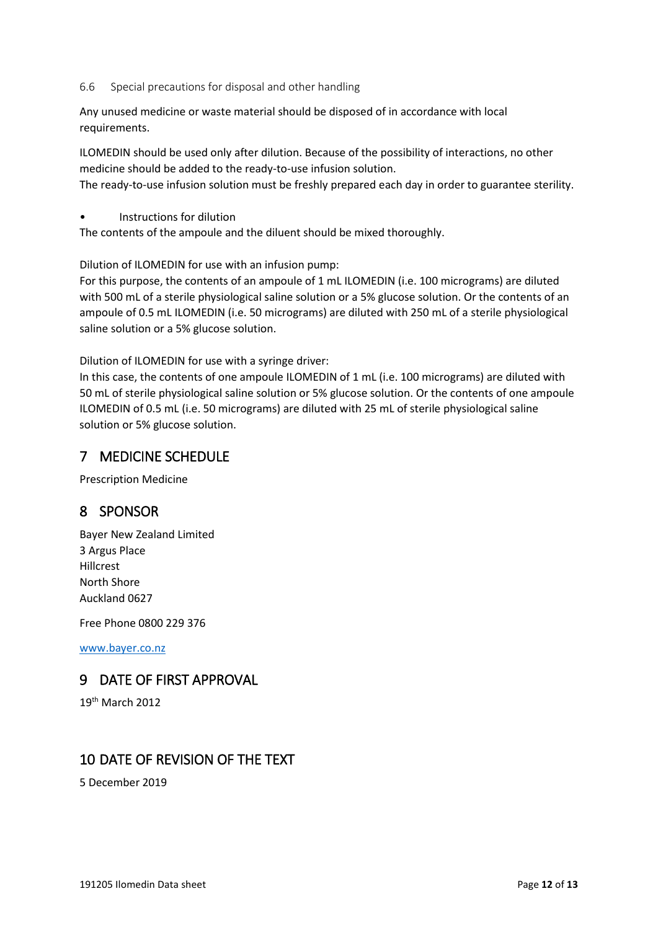#### 6.6 Special precautions for disposal and other handling

Any unused medicine or waste material should be disposed of in accordance with local requirements.

ILOMEDIN should be used only after dilution. Because of the possibility of interactions, no other medicine should be added to the ready-to-use infusion solution.

The ready-to-use infusion solution must be freshly prepared each day in order to guarantee sterility.

• Instructions for dilution

The contents of the ampoule and the diluent should be mixed thoroughly.

Dilution of ILOMEDIN for use with an infusion pump:

For this purpose, the contents of an ampoule of 1 mL ILOMEDIN (i.e. 100 micrograms) are diluted with 500 mL of a sterile physiological saline solution or a 5% glucose solution. Or the contents of an ampoule of 0.5 mL ILOMEDIN (i.e. 50 micrograms) are diluted with 250 mL of a sterile physiological saline solution or a 5% glucose solution.

Dilution of ILOMEDIN for use with a syringe driver:

In this case, the contents of one ampoule ILOMEDIN of 1 mL (i.e. 100 micrograms) are diluted with 50 mL of sterile physiological saline solution or 5% glucose solution. Or the contents of one ampoule ILOMEDIN of 0.5 mL (i.e. 50 micrograms) are diluted with 25 mL of sterile physiological saline solution or 5% glucose solution.

## 7 MEDICINE SCHEDULE

Prescription Medicine

## 8 SPONSOR

Bayer New Zealand Limited 3 Argus Place Hillcrest North Shore Auckland 0627

Free Phone 0800 229 376

[www.bayer.co.nz](http://www.bayer.co.nz/)

## 9 DATE OF FIRST APPROVAL

19th March 2012

## 10 DATE OF REVISION OF THE TEXT

5 December 2019